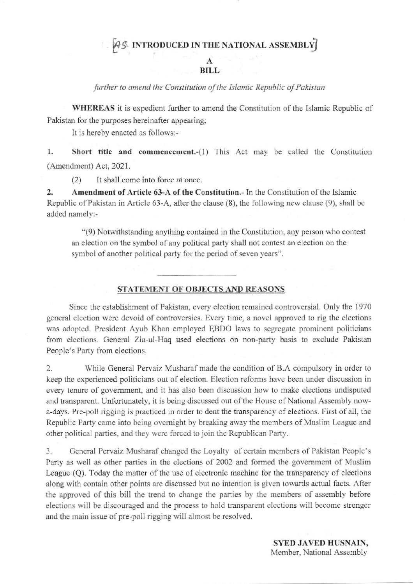## [45 INTRODUCED IN THE NATIONAL ASSEMBLY]

## **BILL**

further to amend the Constitution of the Islamic Republic of Pakistan

WHEREAS it is expedient further to amend the Constitution of the Islamic Republic of Pakistan for the purposes hereinafter appearing;

It is hereby enacted as follows:-

1. Short title and commencement.-(1) This Act may be called the Constitution (Amendment) Act, 2021.

 $(2)$ It shall come into force at once.

 $\overline{2}$ . Amendment of Article 63-A of the Constitution. In the Constitution of the Islamic Republic of Pakistan in Article 63-A, after the clause (8), the following new clause (9), shall be added namely:-

"(9) Notwithstanding anything contained in the Constitution, any person who contest an election on the symbol of any political party shall not contest an election on the symbol of another political party for the period of seven years".

STATEMENT OF OBJECTS AND REASONS

Since the establishment of Pakistan, every election remained controversial. Only the 1970 general election were devoid of controversies. Every time, a novel approved to rig the elections was adopted. President Ayub Khan employed EBDO laws to segregate prominent politicians from elections. General Zia-ul-Haq used elections on non-party basis to exclude Pakistan People's Party from elections.

2. While General Pervaiz Musharaf made the condition of B.A compulsory in order to keep the experienced politicians out of election. Election reforms have been under discussion in every tenure of government, and it has also been discussion how to make elections undisputed and transparent. Unfortunately, it is being discussed out of the House of National Assembly nowa-days. Pre-poll rigging is practiced in order to dent the transparency of elections. First of all, the Republic Party came into being overnight by breaking away the members of Muslim League and other political parties, and they were forced to join the Republican Party.

 $3.$ General Pervaiz Musharaf changed the Loyalty of certain members of Pakistan People's Party as well as other parties in the elections of 2002 and formed the government of Muslim League (Q). Today the matter of the use of electronic machine for the transparency of elections along with contain other points are discussed but no intention is given towards actual facts. After the approved of this bill the trend to change the parties by the members of assembly before elections will be discouraged and the process to hold transparent elections will become stronger and the main issue of pre-poll rigging will almost be resolved.

> **SYED JAVED HUSNAIN,** Member, National Assembly